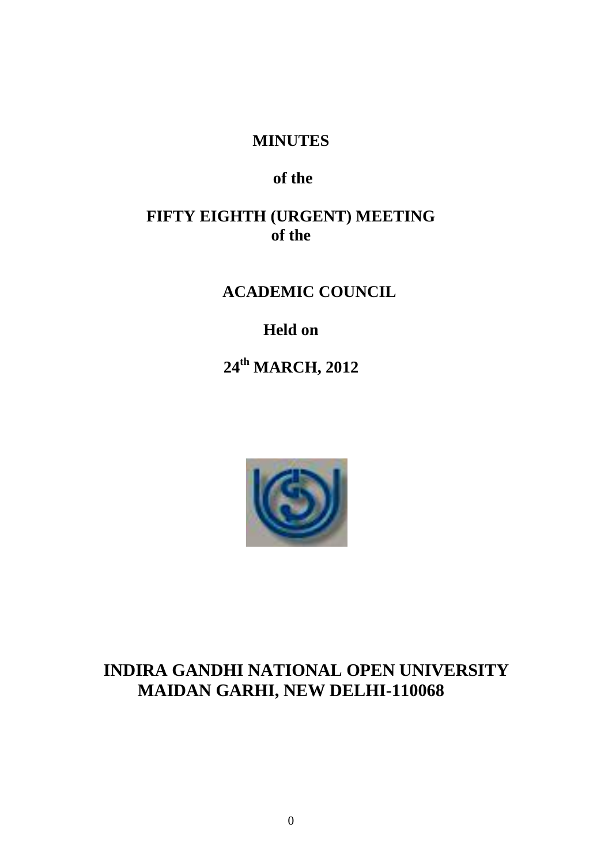## **MINUTES**

# **of the**

# **FIFTY EIGHTH (URGENT) MEETING of the**

# **ACADEMIC COUNCIL**

# **Held on**

# **24th MARCH, 2012**



# **INDIRA GANDHI NATIONAL OPEN UNIVERSITY MAIDAN GARHI, NEW DELHI-110068**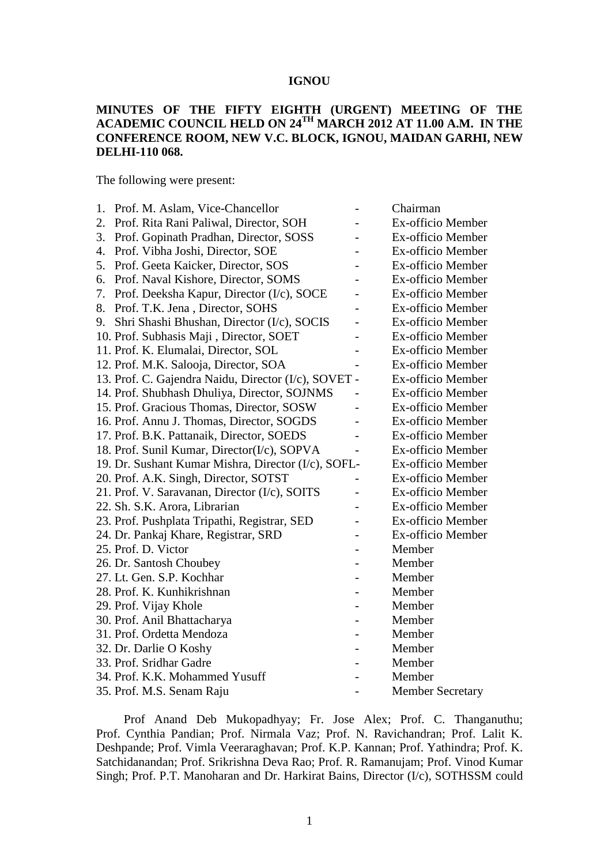#### **IGNOU**

#### **MINUTES OF THE FIFTY EIGHTH (URGENT) MEETING OF THE ACADEMIC COUNCIL HELD ON 24TH MARCH 2012 AT 11.00 A.M. IN THE CONFERENCE ROOM, NEW V.C. BLOCK, IGNOU, MAIDAN GARHI, NEW DELHI-110 068.**

The following were present:

| 1. | Prof. M. Aslam, Vice-Chancellor                      |                          | Chairman                |
|----|------------------------------------------------------|--------------------------|-------------------------|
| 2. | Prof. Rita Rani Paliwal, Director, SOH               |                          | Ex-officio Member       |
| 3. | Prof. Gopinath Pradhan, Director, SOSS               |                          | Ex-officio Member       |
| 4. | Prof. Vibha Joshi, Director, SOE                     |                          | Ex-officio Member       |
| 5. | Prof. Geeta Kaicker, Director, SOS                   |                          | Ex-officio Member       |
| 6. | Prof. Naval Kishore, Director, SOMS                  |                          | Ex-officio Member       |
| 7. | Prof. Deeksha Kapur, Director (I/c), SOCE            |                          | Ex-officio Member       |
| 8. | Prof. T.K. Jena, Director, SOHS                      |                          | Ex-officio Member       |
| 9. | Shri Shashi Bhushan, Director (I/c), SOCIS           | $\overline{\phantom{0}}$ | Ex-officio Member       |
|    | 10. Prof. Subhasis Maji, Director, SOET              | $\overline{\phantom{0}}$ | Ex-officio Member       |
|    | 11. Prof. K. Elumalai, Director, SOL                 |                          | Ex-officio Member       |
|    | 12. Prof. M.K. Salooja, Director, SOA                | $\overline{\phantom{0}}$ | Ex-officio Member       |
|    | 13. Prof. C. Gajendra Naidu, Director (I/c), SOVET - |                          | Ex-officio Member       |
|    | 14. Prof. Shubhash Dhuliya, Director, SOJNMS         |                          | Ex-officio Member       |
|    | 15. Prof. Gracious Thomas, Director, SOSW            |                          | Ex-officio Member       |
|    | 16. Prof. Annu J. Thomas, Director, SOGDS            | $\overline{\phantom{0}}$ | Ex-officio Member       |
|    | 17. Prof. B.K. Pattanaik, Director, SOEDS            |                          | Ex-officio Member       |
|    | 18. Prof. Sunil Kumar, Director(I/c), SOPVA          |                          | Ex-officio Member       |
|    | 19. Dr. Sushant Kumar Mishra, Director (I/c), SOFL-  |                          | Ex-officio Member       |
|    | 20. Prof. A.K. Singh, Director, SOTST                |                          | Ex-officio Member       |
|    | 21. Prof. V. Saravanan, Director (I/c), SOITS        | $\overline{a}$           | Ex-officio Member       |
|    | 22. Sh. S.K. Arora, Librarian                        |                          | Ex-officio Member       |
|    | 23. Prof. Pushplata Tripathi, Registrar, SED         | $\overline{\phantom{0}}$ | Ex-officio Member       |
|    | 24. Dr. Pankaj Khare, Registrar, SRD                 |                          | Ex-officio Member       |
|    | 25. Prof. D. Victor                                  |                          | Member                  |
|    | 26. Dr. Santosh Choubey                              |                          | Member                  |
|    | 27. Lt. Gen. S.P. Kochhar                            |                          | Member                  |
|    | 28. Prof. K. Kunhikrishnan                           |                          | Member                  |
|    | 29. Prof. Vijay Khole                                |                          | Member                  |
|    | 30. Prof. Anil Bhattacharya                          |                          | Member                  |
|    | 31. Prof. Ordetta Mendoza                            |                          | Member                  |
|    | 32. Dr. Darlie O Koshy                               |                          | Member                  |
|    | 33. Prof. Sridhar Gadre                              |                          | Member                  |
|    | 34. Prof. K.K. Mohammed Yusuff                       |                          | Member                  |
|    | 35. Prof. M.S. Senam Raju                            |                          | <b>Member Secretary</b> |

Prof Anand Deb Mukopadhyay; Fr. Jose Alex; Prof. C. Thanganuthu; Prof. Cynthia Pandian; Prof. Nirmala Vaz; Prof. N. Ravichandran; Prof. Lalit K. Deshpande; Prof. Vimla Veeraraghavan; Prof. K.P. Kannan; Prof. Yathindra; Prof. K. Satchidanandan; Prof. Srikrishna Deva Rao; Prof. R. Ramanujam; Prof. Vinod Kumar Singh; Prof. P.T. Manoharan and Dr. Harkirat Bains, Director (I/c), SOTHSSM could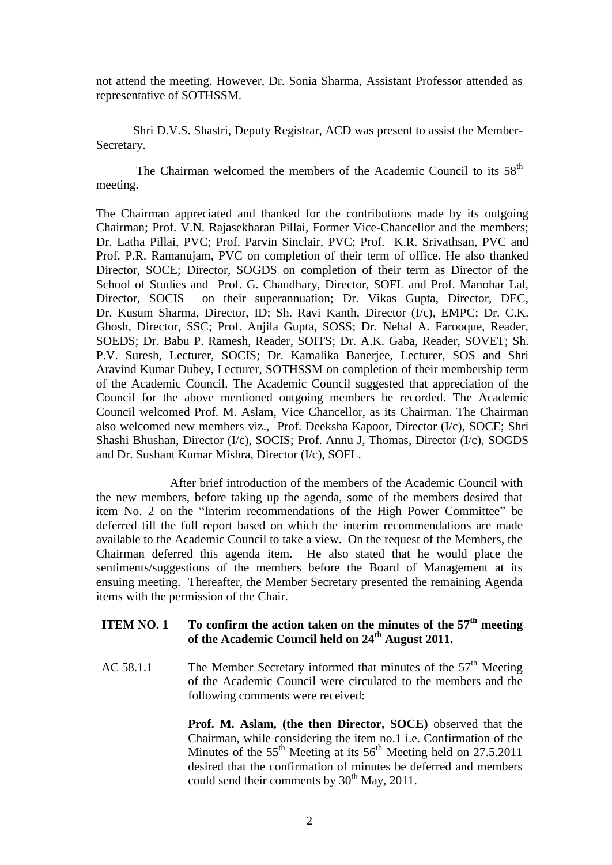not attend the meeting. However, Dr. Sonia Sharma, Assistant Professor attended as representative of SOTHSSM.

Shri D.V.S. Shastri, Deputy Registrar, ACD was present to assist the Member-Secretary.

The Chairman welcomed the members of the Academic Council to its 58<sup>th</sup> meeting.

The Chairman appreciated and thanked for the contributions made by its outgoing Chairman; Prof. V.N. Rajasekharan Pillai, Former Vice-Chancellor and the members; Dr. Latha Pillai, PVC; Prof. Parvin Sinclair, PVC; Prof. K.R. Srivathsan, PVC and Prof. P.R. Ramanujam, PVC on completion of their term of office. He also thanked Director, SOCE; Director, SOGDS on completion of their term as Director of the School of Studies and Prof. G. Chaudhary, Director, SOFL and Prof. Manohar Lal, Director, SOCIS on their superannuation; Dr. Vikas Gupta, Director, DEC, Dr. Kusum Sharma, Director, ID; Sh. Ravi Kanth, Director (I/c), EMPC; Dr. C.K. Ghosh, Director, SSC; Prof. Anjila Gupta, SOSS; Dr. Nehal A. Farooque, Reader, SOEDS; Dr. Babu P. Ramesh, Reader, SOITS; Dr. A.K. Gaba, Reader, SOVET; Sh. P.V. Suresh, Lecturer, SOCIS; Dr. Kamalika Banerjee, Lecturer, SOS and Shri Aravind Kumar Dubey, Lecturer, SOTHSSM on completion of their membership term of the Academic Council. The Academic Council suggested that appreciation of the Council for the above mentioned outgoing members be recorded. The Academic Council welcomed Prof. M. Aslam, Vice Chancellor, as its Chairman. The Chairman also welcomed new members viz., Prof. Deeksha Kapoor, Director (I/c), SOCE; Shri Shashi Bhushan, Director (I/c), SOCIS; Prof. Annu J, Thomas, Director (I/c), SOGDS and Dr. Sushant Kumar Mishra, Director (I/c), SOFL.

After brief introduction of the members of the Academic Council with the new members, before taking up the agenda, some of the members desired that item No. 2 on the "Interim recommendations of the High Power Committee" be deferred till the full report based on which the interim recommendations are made available to the Academic Council to take a view. On the request of the Members, the Chairman deferred this agenda item. He also stated that he would place the sentiments/suggestions of the members before the Board of Management at its ensuing meeting. Thereafter, the Member Secretary presented the remaining Agenda items with the permission of the Chair.

## **ITEM NO. 1 To confirm the action taken on the minutes of the 57th meeting of the Academic Council held on 24th August 2011.**

AC 58.1.1 The Member Secretary informed that minutes of the  $57<sup>th</sup>$  Meeting of the Academic Council were circulated to the members and the following comments were received:

> **Prof. M. Aslam, (the then Director, SOCE)** observed that the Chairman, while considering the item no.1 i.e. Confirmation of the Minutes of the  $55<sup>th</sup>$  Meeting at its  $56<sup>th</sup>$  Meeting held on 27.5.2011 desired that the confirmation of minutes be deferred and members could send their comments by  $30<sup>th</sup>$  May, 2011.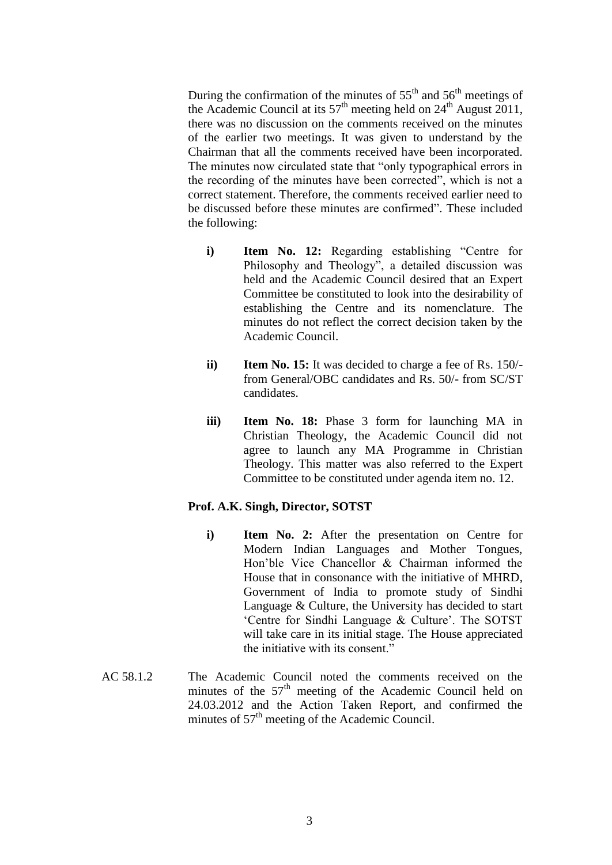During the confirmation of the minutes of  $55<sup>th</sup>$  and  $56<sup>th</sup>$  meetings of the Academic Council at its  $57<sup>th</sup>$  meeting held on  $24<sup>th</sup>$  August 2011, there was no discussion on the comments received on the minutes of the earlier two meetings. It was given to understand by the Chairman that all the comments received have been incorporated. The minutes now circulated state that "only typographical errors in the recording of the minutes have been corrected", which is not a correct statement. Therefore, the comments received earlier need to be discussed before these minutes are confirmed". These included the following:

- **i) Item No. 12:** Regarding establishing "Centre for Philosophy and Theology", a detailed discussion was held and the Academic Council desired that an Expert Committee be constituted to look into the desirability of establishing the Centre and its nomenclature. The minutes do not reflect the correct decision taken by the Academic Council.
- **ii) Item No. 15:** It was decided to charge a fee of Rs. 150/ from General/OBC candidates and Rs. 50/- from SC/ST candidates.
- **iii) Item No. 18:** Phase 3 form for launching MA in Christian Theology, the Academic Council did not agree to launch any MA Programme in Christian Theology. This matter was also referred to the Expert Committee to be constituted under agenda item no. 12.

#### **Prof. A.K. Singh, Director, SOTST**

- **i) Item No. 2:** After the presentation on Centre for Modern Indian Languages and Mother Tongues, Hon'ble Vice Chancellor & Chairman informed the House that in consonance with the initiative of MHRD, Government of India to promote study of Sindhi Language & Culture, the University has decided to start 'Centre for Sindhi Language & Culture'. The SOTST will take care in its initial stage. The House appreciated the initiative with its consent."
- AC 58.1.2 The Academic Council noted the comments received on the minutes of the  $57<sup>th</sup>$  meeting of the Academic Council held on 24.03.2012 and the Action Taken Report, and confirmed the minutes of  $57<sup>th</sup>$  meeting of the Academic Council.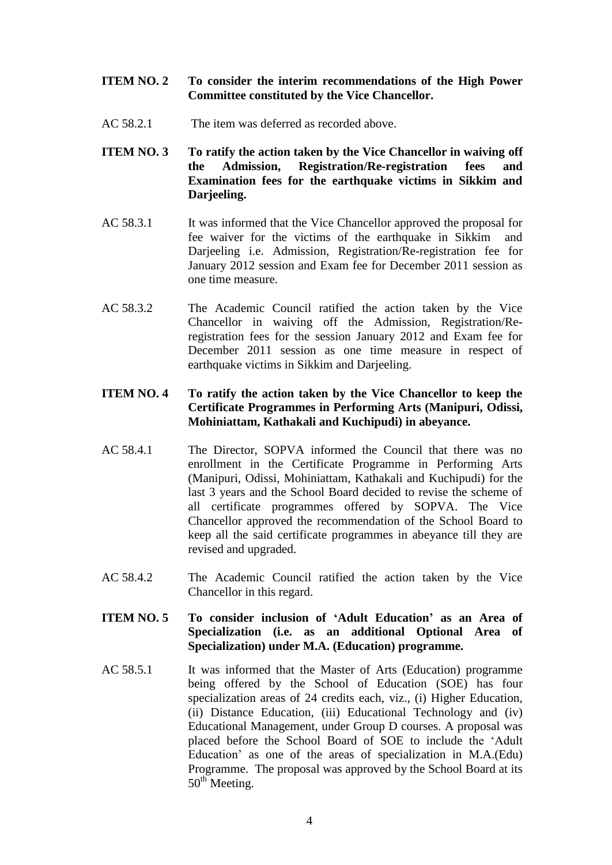- **ITEM NO. 2 To consider the interim recommendations of the High Power Committee constituted by the Vice Chancellor.**
- AC 58.2.1 The item was deferred as recorded above.
- **ITEM NO. 3 To ratify the action taken by the Vice Chancellor in waiving off the Admission, Registration/Re-registration fees and Examination fees for the earthquake victims in Sikkim and Darjeeling.**
- AC 58.3.1 It was informed that the Vice Chancellor approved the proposal for fee waiver for the victims of the earthquake in Sikkim and Darjeeling i.e. Admission, Registration/Re-registration fee for January 2012 session and Exam fee for December 2011 session as one time measure.
- AC 58.3.2 The Academic Council ratified the action taken by the Vice Chancellor in waiving off the Admission, Registration/Reregistration fees for the session January 2012 and Exam fee for December 2011 session as one time measure in respect of earthquake victims in Sikkim and Darjeeling.

## **ITEM NO. 4 To ratify the action taken by the Vice Chancellor to keep the Certificate Programmes in Performing Arts (Manipuri, Odissi, Mohiniattam, Kathakali and Kuchipudi) in abeyance.**

- AC 58.4.1 The Director, SOPVA informed the Council that there was no enrollment in the Certificate Programme in Performing Arts (Manipuri, Odissi, Mohiniattam, Kathakali and Kuchipudi) for the last 3 years and the School Board decided to revise the scheme of all certificate programmes offered by SOPVA. The Vice Chancellor approved the recommendation of the School Board to keep all the said certificate programmes in abeyance till they are revised and upgraded.
- AC 58.4.2 The Academic Council ratified the action taken by the Vice Chancellor in this regard.

## **ITEM NO. 5 To consider inclusion of 'Adult Education' as an Area of Specialization (i.e. as an additional Optional Area of Specialization) under M.A. (Education) programme.**

AC 58.5.1 It was informed that the Master of Arts (Education) programme being offered by the School of Education (SOE) has four specialization areas of 24 credits each, viz., (i) Higher Education, (ii) Distance Education, (iii) Educational Technology and (iv) Educational Management, under Group D courses. A proposal was placed before the School Board of SOE to include the 'Adult Education' as one of the areas of specialization in M.A.(Edu) Programme. The proposal was approved by the School Board at its  $50<sup>th</sup>$  Meeting.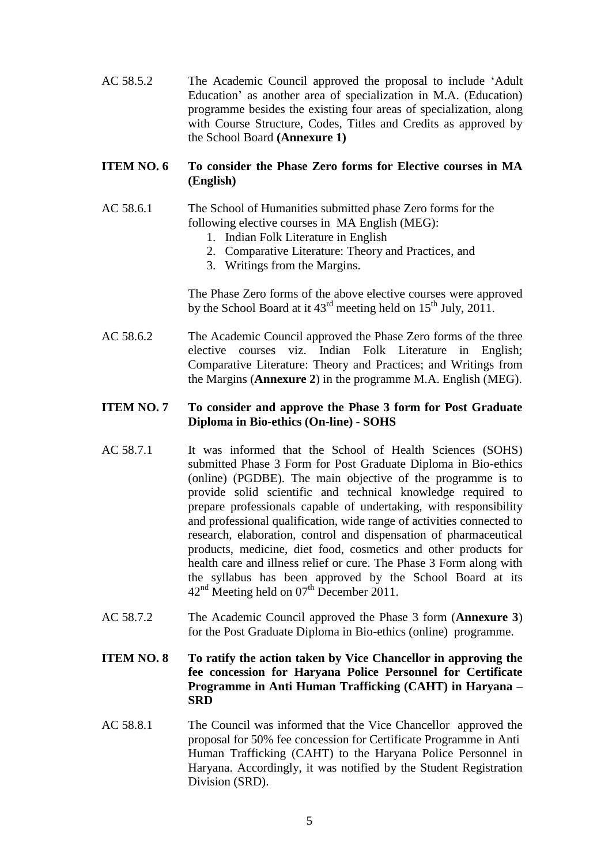AC 58.5.2 The Academic Council approved the proposal to include 'Adult Education' as another area of specialization in M.A. (Education) programme besides the existing four areas of specialization, along with Course Structure, Codes, Titles and Credits as approved by the School Board **(Annexure 1)**

## **ITEM NO. 6 To consider the Phase Zero forms for Elective courses in MA (English)**

- AC 58.6.1 The School of Humanities submitted phase Zero forms for the following elective courses in MA English (MEG):
	- 1. Indian Folk Literature in English
	- 2. Comparative Literature: Theory and Practices, and
	- 3. Writings from the Margins.

The Phase Zero forms of the above elective courses were approved by the School Board at it  $43^{\text{rd}}$  meeting held on  $15^{\text{th}}$  July,  $2011$ .

AC 58.6.2 The Academic Council approved the Phase Zero forms of the three elective courses viz. Indian Folk Literature in English; Comparative Literature: Theory and Practices; and Writings from the Margins (**Annexure 2**) in the programme M.A. English (MEG).

#### **ITEM NO. 7 To consider and approve the Phase 3 form for Post Graduate Diploma in Bio-ethics (On-line) - SOHS**

- AC 58.7.1 It was informed that the School of Health Sciences (SOHS) submitted Phase 3 Form for Post Graduate Diploma in Bio-ethics (online) (PGDBE). The main objective of the programme is to provide solid scientific and technical knowledge required to prepare professionals capable of undertaking, with responsibility and professional qualification, wide range of activities connected to research, elaboration, control and dispensation of pharmaceutical products, medicine, diet food, cosmetics and other products for health care and illness relief or cure. The Phase 3 Form along with the syllabus has been approved by the School Board at its  $42<sup>nd</sup>$  Meeting held on 07<sup>th</sup> December 2011.
- AC 58.7.2 The Academic Council approved the Phase 3 form (**Annexure 3**) for the Post Graduate Diploma in Bio-ethics (online) programme.

#### **ITEM NO. 8 To ratify the action taken by Vice Chancellor in approving the fee concession for Haryana Police Personnel for Certificate Programme in Anti Human Trafficking (CAHT) in Haryana – SRD**

AC 58.8.1 The Council was informed that the Vice Chancellor approved the proposal for 50% fee concession for Certificate Programme in Anti Human Trafficking (CAHT) to the Haryana Police Personnel in Haryana. Accordingly, it was notified by the Student Registration Division (SRD).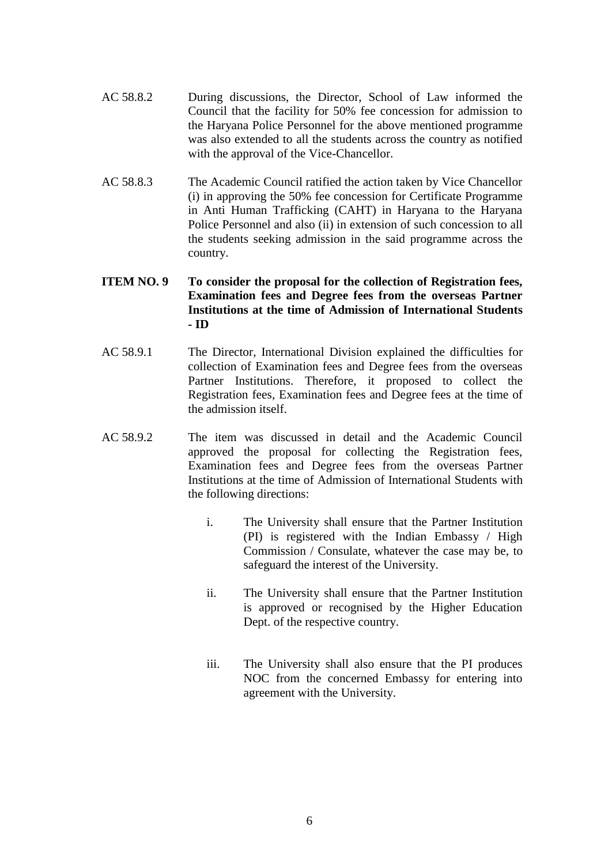- AC 58.8.2 During discussions, the Director, School of Law informed the Council that the facility for 50% fee concession for admission to the Haryana Police Personnel for the above mentioned programme was also extended to all the students across the country as notified with the approval of the Vice-Chancellor.
- AC 58.8.3 The Academic Council ratified the action taken by Vice Chancellor (i) in approving the 50% fee concession for Certificate Programme in Anti Human Trafficking (CAHT) in Haryana to the Haryana Police Personnel and also (ii) in extension of such concession to all the students seeking admission in the said programme across the country.

## **ITEM NO. 9 To consider the proposal for the collection of Registration fees, Examination fees and Degree fees from the overseas Partner Institutions at the time of Admission of International Students - ID**

- AC 58.9.1 The Director, International Division explained the difficulties for collection of Examination fees and Degree fees from the overseas Partner Institutions. Therefore, it proposed to collect the Registration fees, Examination fees and Degree fees at the time of the admission itself.
- AC 58.9.2 The item was discussed in detail and the Academic Council approved the proposal for collecting the Registration fees, Examination fees and Degree fees from the overseas Partner Institutions at the time of Admission of International Students with the following directions:
	- i. The University shall ensure that the Partner Institution (PI) is registered with the Indian Embassy / High Commission / Consulate, whatever the case may be, to safeguard the interest of the University.
	- ii. The University shall ensure that the Partner Institution is approved or recognised by the Higher Education Dept. of the respective country.
	- iii. The University shall also ensure that the PI produces NOC from the concerned Embassy for entering into agreement with the University.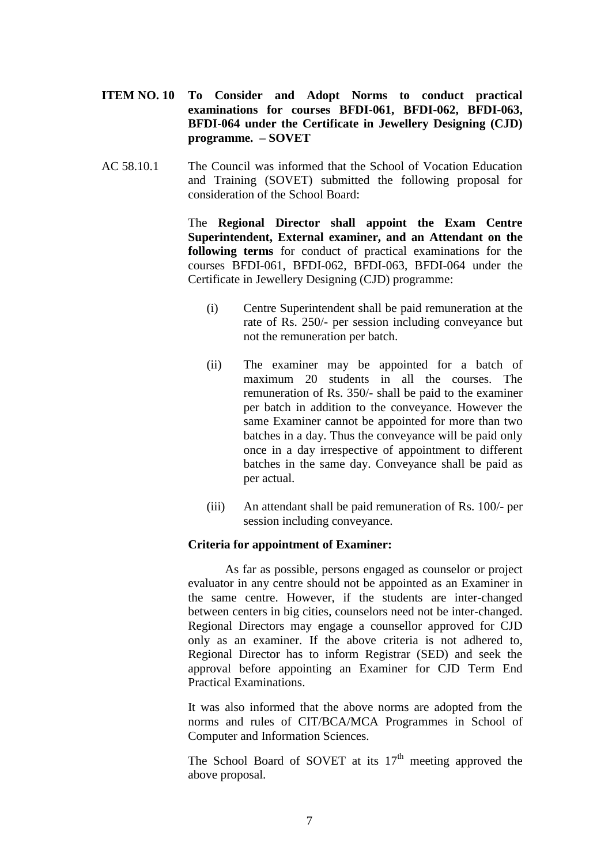- **ITEM NO. 10 To Consider and Adopt Norms to conduct practical examinations for courses BFDI-061, BFDI-062, BFDI-063, BFDI-064 under the Certificate in Jewellery Designing (CJD) programme. – SOVET**
- AC 58.10.1 The Council was informed that the School of Vocation Education and Training (SOVET) submitted the following proposal for consideration of the School Board:

The **Regional Director shall appoint the Exam Centre Superintendent, External examiner, and an Attendant on the following terms** for conduct of practical examinations for the courses BFDI-061, BFDI-062, BFDI-063, BFDI-064 under the Certificate in Jewellery Designing (CJD) programme:

- (i) Centre Superintendent shall be paid remuneration at the rate of Rs. 250/- per session including conveyance but not the remuneration per batch.
- (ii) The examiner may be appointed for a batch of maximum 20 students in all the courses. The remuneration of Rs. 350/- shall be paid to the examiner per batch in addition to the conveyance. However the same Examiner cannot be appointed for more than two batches in a day. Thus the conveyance will be paid only once in a day irrespective of appointment to different batches in the same day. Conveyance shall be paid as per actual.
- (iii) An attendant shall be paid remuneration of Rs. 100/- per session including conveyance.

#### **Criteria for appointment of Examiner:**

As far as possible, persons engaged as counselor or project evaluator in any centre should not be appointed as an Examiner in the same centre. However, if the students are inter-changed between centers in big cities, counselors need not be inter-changed. Regional Directors may engage a counsellor approved for CJD only as an examiner. If the above criteria is not adhered to, Regional Director has to inform Registrar (SED) and seek the approval before appointing an Examiner for CJD Term End Practical Examinations.

It was also informed that the above norms are adopted from the norms and rules of CIT/BCA/MCA Programmes in School of Computer and Information Sciences.

The School Board of SOVET at its  $17<sup>th</sup>$  meeting approved the above proposal.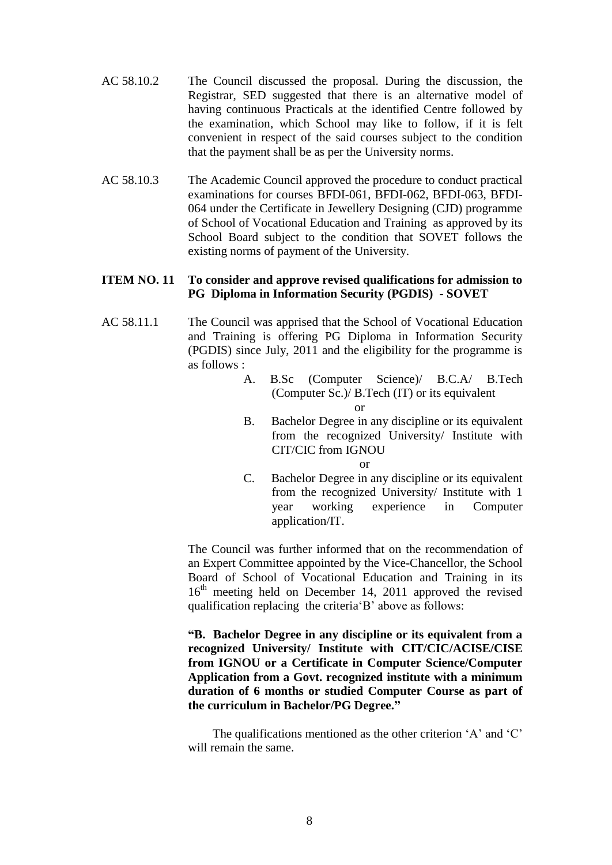- AC 58.10.2 The Council discussed the proposal. During the discussion, the Registrar, SED suggested that there is an alternative model of having continuous Practicals at the identified Centre followed by the examination, which School may like to follow, if it is felt convenient in respect of the said courses subject to the condition that the payment shall be as per the University norms.
- AC 58.10.3 The Academic Council approved the procedure to conduct practical examinations for courses BFDI-061, BFDI-062, BFDI-063, BFDI-064 under the Certificate in Jewellery Designing (CJD) programme of School of Vocational Education and Training as approved by its School Board subject to the condition that SOVET follows the existing norms of payment of the University.

#### **ITEM NO. 11 To consider and approve revised qualifications for admission to PG Diploma in Information Security (PGDIS) - SOVET**

- AC 58.11.1 The Council was apprised that the School of Vocational Education and Training is offering PG Diploma in Information Security (PGDIS) since July, 2011 and the eligibility for the programme is as follows :
	- A. B.Sc (Computer Science)/ B.C.A/ B.Tech (Computer Sc.)/ B.Tech (IT) or its equivalent or
	- B. Bachelor Degree in any discipline or its equivalent from the recognized University/ Institute with CIT/CIC from IGNOU

or

 C. Bachelor Degree in any discipline or its equivalent from the recognized University/ Institute with 1 year working experience in Computer application/IT.

The Council was further informed that on the recommendation of an Expert Committee appointed by the Vice-Chancellor, the School Board of School of Vocational Education and Training in its 16<sup>th</sup> meeting held on December 14, 2011 approved the revised qualification replacing the criteria'B' above as follows:

**"B. Bachelor Degree in any discipline or its equivalent from a recognized University/ Institute with CIT/CIC/ACISE/CISE from IGNOU or a Certificate in Computer Science/Computer Application from a Govt. recognized institute with a minimum duration of 6 months or studied Computer Course as part of the curriculum in Bachelor/PG Degree."**

 The qualifications mentioned as the other criterion 'A' and 'C' will remain the same.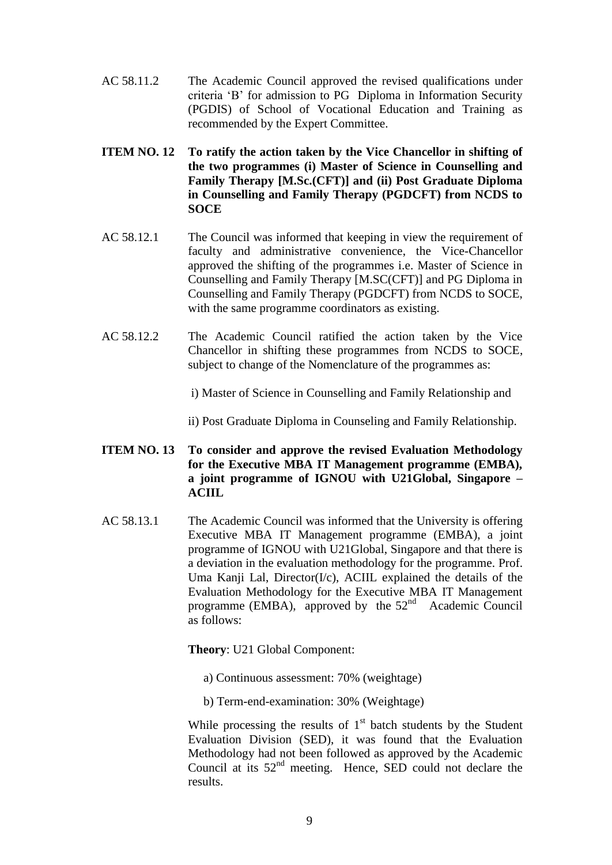- AC 58.11.2 The Academic Council approved the revised qualifications under criteria 'B' for admission to PG Diploma in Information Security (PGDIS) of School of Vocational Education and Training as recommended by the Expert Committee.
- **ITEM NO. 12 To ratify the action taken by the Vice Chancellor in shifting of the two programmes (i) Master of Science in Counselling and Family Therapy [M.Sc.(CFT)] and (ii) Post Graduate Diploma in Counselling and Family Therapy (PGDCFT) from NCDS to SOCE**
- AC 58.12.1 The Council was informed that keeping in view the requirement of faculty and administrative convenience, the Vice-Chancellor approved the shifting of the programmes i.e. Master of Science in Counselling and Family Therapy [M.SC(CFT)] and PG Diploma in Counselling and Family Therapy (PGDCFT) from NCDS to SOCE, with the same programme coordinators as existing.
- AC 58.12.2 The Academic Council ratified the action taken by the Vice Chancellor in shifting these programmes from NCDS to SOCE, subject to change of the Nomenclature of the programmes as:

i) Master of Science in Counselling and Family Relationship and

ii) Post Graduate Diploma in Counseling and Family Relationship.

- **ITEM NO. 13 To consider and approve the revised Evaluation Methodology for the Executive MBA IT Management programme (EMBA), a joint programme of IGNOU with U21Global, Singapore – ACIIL**
- AC 58.13.1 The Academic Council was informed that the University is offering Executive MBA IT Management programme (EMBA), a joint programme of IGNOU with U21Global, Singapore and that there is a deviation in the evaluation methodology for the programme. Prof. Uma Kanji Lal, Director(I/c), ACIIL explained the details of the Evaluation Methodology for the Executive MBA IT Management programme (EMBA), approved by the  $52<sup>nd</sup>$  Academic Council as follows:

**Theory**: U21 Global Component:

- a) Continuous assessment: 70% (weightage)
- b) Term-end-examination: 30% (Weightage)

While processing the results of  $1<sup>st</sup>$  batch students by the Student Evaluation Division (SED), it was found that the Evaluation Methodology had not been followed as approved by the Academic Council at its  $52<sup>nd</sup>$  meeting. Hence, SED could not declare the results.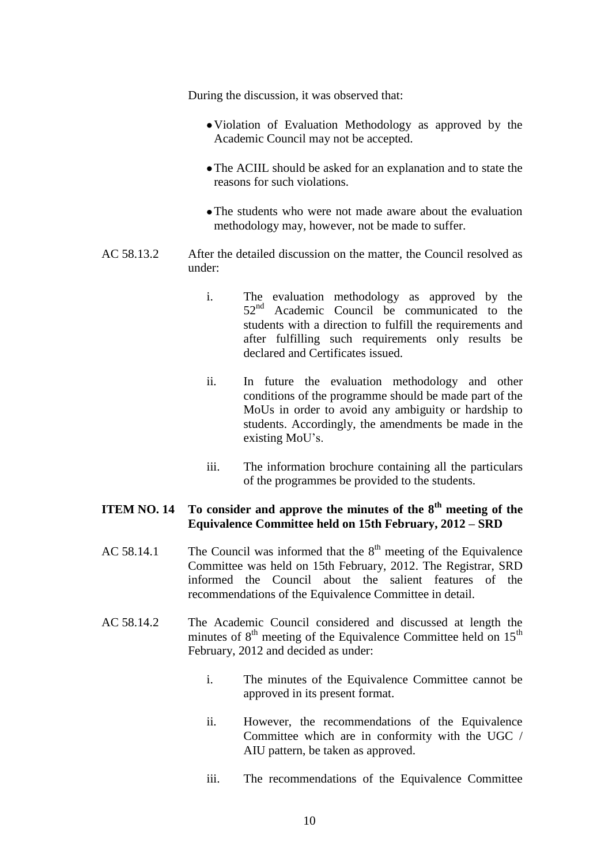During the discussion, it was observed that:

- Violation of Evaluation Methodology as approved by the Academic Council may not be accepted.
- The ACIIL should be asked for an explanation and to state the reasons for such violations.
- The students who were not made aware about the evaluation methodology may, however, not be made to suffer.
- AC 58.13.2 After the detailed discussion on the matter, the Council resolved as under:
	- i. The evaluation methodology as approved by the 52<sup>nd</sup> Academic Council be communicated to the students with a direction to fulfill the requirements and after fulfilling such requirements only results be declared and Certificates issued.
	- ii. In future the evaluation methodology and other conditions of the programme should be made part of the MoUs in order to avoid any ambiguity or hardship to students. Accordingly, the amendments be made in the existing MoU's.
	- iii. The information brochure containing all the particulars of the programmes be provided to the students.

## **ITEM NO. 14 To consider and approve the minutes of the 8th meeting of the Equivalence Committee held on 15th February, 2012 – SRD**

- AC 58.14.1 The Council was informed that the  $8<sup>th</sup>$  meeting of the Equivalence Committee was held on 15th February, 2012. The Registrar, SRD informed the Council about the salient features of the recommendations of the Equivalence Committee in detail.
- AC 58.14.2 The Academic Council considered and discussed at length the minutes of  $8<sup>th</sup>$  meeting of the Equivalence Committee held on  $15<sup>th</sup>$ February, 2012 and decided as under:
	- i. The minutes of the Equivalence Committee cannot be approved in its present format.
	- ii. However, the recommendations of the Equivalence Committee which are in conformity with the UGC / AIU pattern, be taken as approved.
	- iii. The recommendations of the Equivalence Committee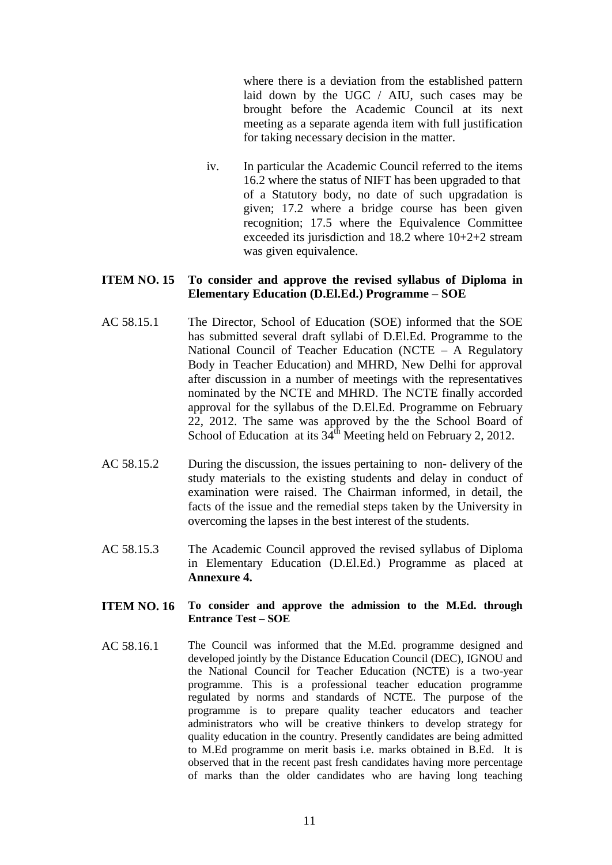where there is a deviation from the established pattern laid down by the UGC / AIU, such cases may be brought before the Academic Council at its next meeting as a separate agenda item with full justification for taking necessary decision in the matter.

iv. In particular the Academic Council referred to the items 16.2 where the status of NIFT has been upgraded to that of a Statutory body, no date of such upgradation is given; 17.2 where a bridge course has been given recognition; 17.5 where the Equivalence Committee exceeded its jurisdiction and 18.2 where 10+2+2 stream was given equivalence.

#### **ITEM NO. 15 To consider and approve the revised syllabus of Diploma in Elementary Education (D.El.Ed.) Programme – SOE**

- AC 58.15.1 The Director, School of Education (SOE) informed that the SOE has submitted several draft syllabi of D.El.Ed. Programme to the National Council of Teacher Education (NCTE – A Regulatory Body in Teacher Education) and MHRD, New Delhi for approval after discussion in a number of meetings with the representatives nominated by the NCTE and MHRD. The NCTE finally accorded approval for the syllabus of the D.El.Ed. Programme on February 22, 2012. The same was approved by the the School Board of School of Education at its  $34<sup>th</sup>$  Meeting held on February 2, 2012.
- AC 58.15.2 During the discussion, the issues pertaining to non- delivery of the study materials to the existing students and delay in conduct of examination were raised. The Chairman informed, in detail, the facts of the issue and the remedial steps taken by the University in overcoming the lapses in the best interest of the students.
- AC 58.15.3 The Academic Council approved the revised syllabus of Diploma in Elementary Education (D.El.Ed.) Programme as placed at **Annexure 4.**

#### **ITEM NO. 16 To consider and approve the admission to the M.Ed. through Entrance Test – SOE**

AC 58.16.1 The Council was informed that the M.Ed. programme designed and developed jointly by the Distance Education Council (DEC), IGNOU and the National Council for Teacher Education (NCTE) is a two-year programme. This is a professional teacher education programme regulated by norms and standards of NCTE. The purpose of the programme is to prepare quality teacher educators and teacher administrators who will be creative thinkers to develop strategy for quality education in the country. Presently candidates are being admitted to M.Ed programme on merit basis i.e. marks obtained in B.Ed. It is observed that in the recent past fresh candidates having more percentage of marks than the older candidates who are having long teaching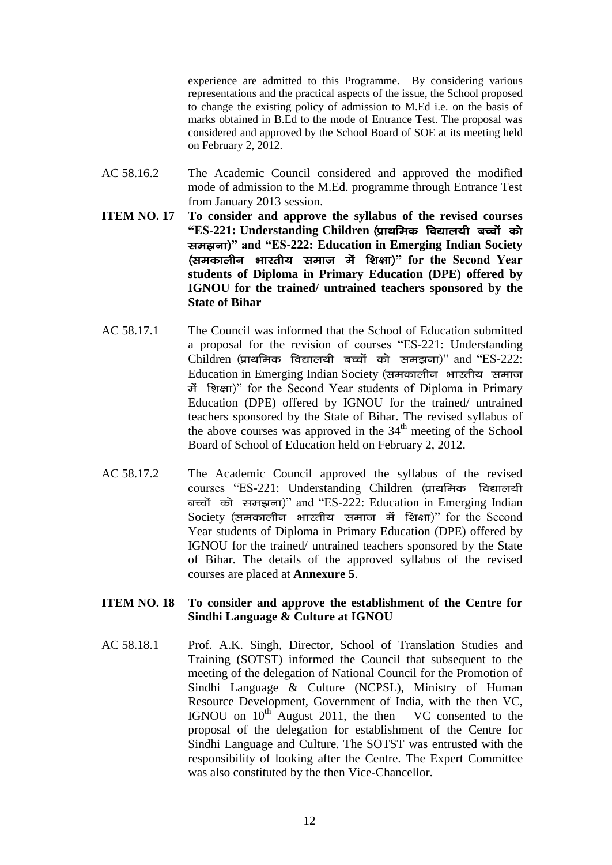experience are admitted to this Programme. By considering various representations and the practical aspects of the issue, the School proposed to change the existing policy of admission to M.Ed i.e. on the basis of marks obtained in B.Ed to the mode of Entrance Test. The proposal was considered and approved by the School Board of SOE at its meeting held on February 2, 2012.

- AC 58.16.2 The Academic Council considered and approved the modified mode of admission to the M.Ed. programme through Entrance Test from January 2013 session.
- **ITEM NO. 17 To consider and approve the syllabus of the revised courses**  "ES-221: Understanding Children (प्राथमिक विद्यालयी बच्चों को रामञ्जूष)" and "ES-222: Education in Emerging Indian Society ¼ledkyhu Hkkjrh; lekt esa f'k{kk½**" for the Second Year students of Diploma in Primary Education (DPE) offered by IGNOU for the trained/ untrained teachers sponsored by the State of Bihar**
- AC 58.17.1 The Council was informed that the School of Education submitted a proposal for the revision of courses "ES-221: Understanding  $Children$  (प्राथमिक विद्यालयी बच्चों को समझना)" and "ES-222: Education in Emerging Indian Society (समकालीन भारतीय समाज  $\vec{r}$  ferent)" for the Second Year students of Diploma in Primary Education (DPE) offered by IGNOU for the trained/ untrained teachers sponsored by the State of Bihar. The revised syllabus of the above courses was approved in the  $34<sup>th</sup>$  meeting of the School Board of School of Education held on February 2, 2012.
- AC 58.17.2 The Academic Council approved the syllabus of the revised courses "ES-221: Understanding Children (प्राथमिक विद्यालयी बच्चों को समझना)" and "ES-222: Education in Emerging Indian Society (समकालीन भारतीय समाज में शिक्षा)" for the Second Year students of Diploma in Primary Education (DPE) offered by IGNOU for the trained/ untrained teachers sponsored by the State of Bihar. The details of the approved syllabus of the revised courses are placed at **Annexure 5**.

#### **ITEM NO. 18 To consider and approve the establishment of the Centre for Sindhi Language & Culture at IGNOU**

AC 58.18.1 Prof. A.K. Singh, Director, School of Translation Studies and Training (SOTST) informed the Council that subsequent to the meeting of the delegation of National Council for the Promotion of Sindhi Language & Culture (NCPSL), Ministry of Human Resource Development, Government of India, with the then VC, IGNOU on  $10^{th}$  August 2011, the then VC consented to the proposal of the delegation for establishment of the Centre for Sindhi Language and Culture. The SOTST was entrusted with the responsibility of looking after the Centre. The Expert Committee was also constituted by the then Vice-Chancellor.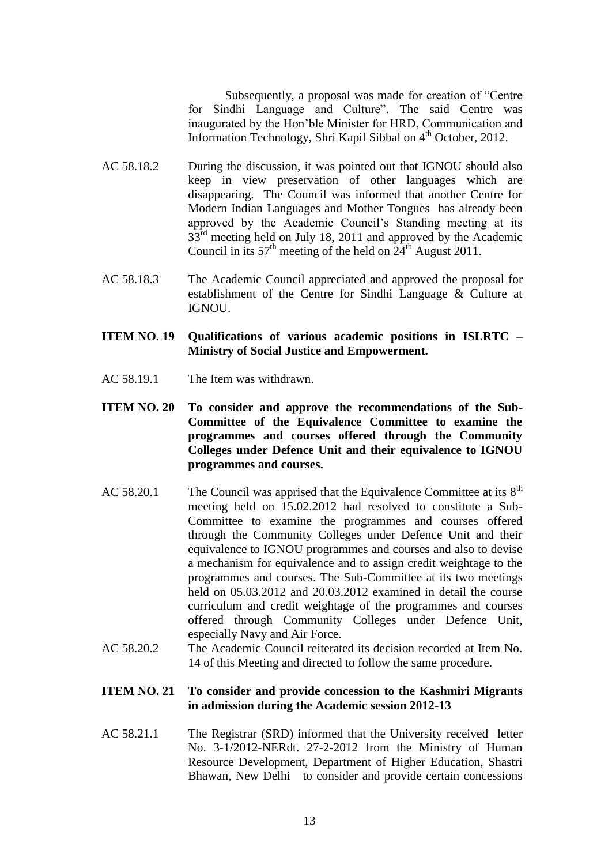Subsequently, a proposal was made for creation of "Centre for Sindhi Language and Culture". The said Centre was inaugurated by the Hon'ble Minister for HRD, Communication and Information Technology, Shri Kapil Sibbal on 4<sup>th</sup> October, 2012.

- AC 58.18.2 During the discussion, it was pointed out that IGNOU should also keep in view preservation of other languages which are disappearing. The Council was informed that another Centre for Modern Indian Languages and Mother Tongues has already been approved by the Academic Council's Standing meeting at its 33<sup>rd</sup> meeting held on July 18, 2011 and approved by the Academic Council in its  $57<sup>th</sup>$  meeting of the held on  $24<sup>th</sup>$  August 2011.
- AC 58.18.3 The Academic Council appreciated and approved the proposal for establishment of the Centre for Sindhi Language & Culture at IGNOU.
- **ITEM NO. 19 Qualifications of various academic positions in ISLRTC – Ministry of Social Justice and Empowerment.**
- AC 58.19.1 The Item was withdrawn.
- **ITEM NO. 20 To consider and approve the recommendations of the Sub-Committee of the Equivalence Committee to examine the programmes and courses offered through the Community Colleges under Defence Unit and their equivalence to IGNOU programmes and courses.**
- AC 58.20.1 The Council was apprised that the Equivalence Committee at its  $8<sup>th</sup>$ meeting held on 15.02.2012 had resolved to constitute a Sub-Committee to examine the programmes and courses offered through the Community Colleges under Defence Unit and their equivalence to IGNOU programmes and courses and also to devise a mechanism for equivalence and to assign credit weightage to the programmes and courses. The Sub-Committee at its two meetings held on  $05.03.2012$  and  $20.03.2012$  examined in detail the course curriculum and credit weightage of the programmes and courses offered through Community Colleges under Defence Unit, especially Navy and Air Force.
- AC 58.20.2 The Academic Council reiterated its decision recorded at Item No. 14 of this Meeting and directed to follow the same procedure.

#### **ITEM NO. 21 To consider and provide concession to the Kashmiri Migrants in admission during the Academic session 2012-13**

AC 58.21.1 The Registrar (SRD) informed that the University received letter No. 3-1/2012-NERdt. 27-2-2012 from the Ministry of Human Resource Development, Department of Higher Education, Shastri Bhawan, New Delhi to consider and provide certain concessions